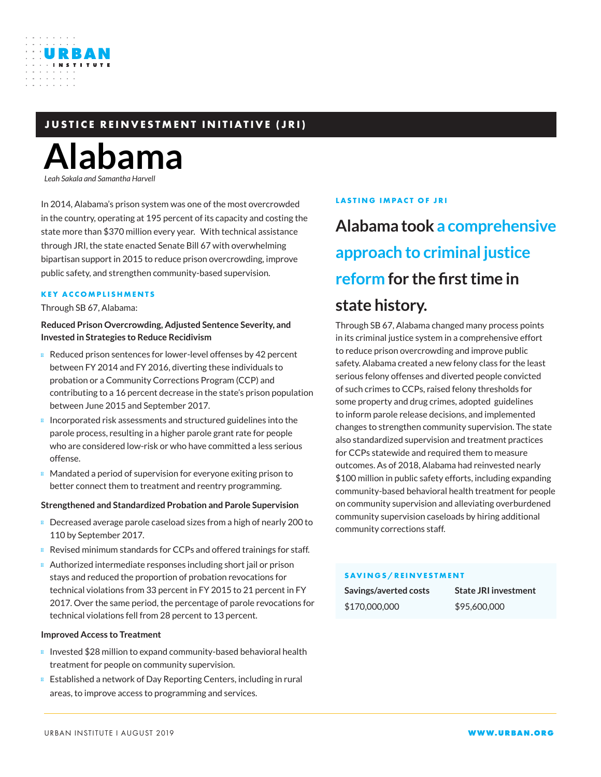### **JUSTICE REINVESTMENT INITIATIVE (JRI)**

# **Alabama**

*Leah Sakala and Samantha Harvell*

URBAN

In 2014, Alabama's prison system was one of the most overcrowded in the country, operating at 195 percent of its capacity and costing the state more than \$370 million every year. With technical assistance through JRI, the state enacted Senate Bill 67 with overwhelming bipartisan support in 2015 to reduce prison overcrowding, improve public safety, and strengthen community-based supervision.

### **KEY ACCOMPLISHMENTS**

Through SB 67, Alabama:

### **Reduced Prison Overcrowding, Adjusted Sentence Severity, and Invested in Strategies to Reduce Recidivism**

Reduced prison sentences for lower-level offenses by 42 percent between FY 2014 and FY 2016, diverting these individuals to probation or a Community Corrections Program (CCP) and contributing to a 16 percent decrease in the state's prison population between June 2015 and September 2017.

Incorporated risk assessments and structured guidelines into the parole process, resulting in a higher parole grant rate for people who are considered low-risk or who have committed a less serious offense.

Mandated a period of supervision for everyone exiting prison to better connect them to treatment and reentry programming.

### **Strengthened and Standardized Probation and Parole Supervision**

Decreased average parole caseload sizes from a high of nearly 200 to 110 by September 2017.

Revised minimum standards for CCPs and offered trainings for staff. Authorized intermediate responses including short jail or prison stays and reduced the proportion of probation revocations for technical violations from 33 percent in FY 2015 to 21 percent in FY 2017. Over the same period, the percentage of parole revocations for technical violations fell from 28 percent to 13 percent.

### **Improved Access to Treatment**

Invested \$28 million to expand community-based behavioral health treatment for people on community supervision.

Established a network of Day Reporting Centers, including in rural areas, to improve access to programming and services.

### **LASTING IMPACT OF JRI**

## **Alabama took a comprehensive approach to criminal justice reform for the first time in**

### **state history.**

Through SB 67, Alabama changed many process points in its criminal justice system in a comprehensive effort to reduce prison overcrowding and improve public safety. Alabama created a new felony class for the least serious felony offenses and diverted people convicted of such crimes to CCPs, raised felony thresholds for some property and drug crimes, adopted guidelines to inform parole release decisions, and implemented changes to strengthen community supervision. The state also standardized supervision and treatment practices for CCPs statewide and required them to measure outcomes. As of 2018, Alabama had reinvested nearly \$100 million in public safety efforts, including expanding community-based behavioral health treatment for people on community supervision and alleviating overburdened community supervision caseloads by hiring additional community corrections staff.

### **SAVINGS/REINVESTMENT**

| Savings/averted costs | <b>State JRI investment</b> |
|-----------------------|-----------------------------|
| \$170,000,000         | \$95,600,000                |